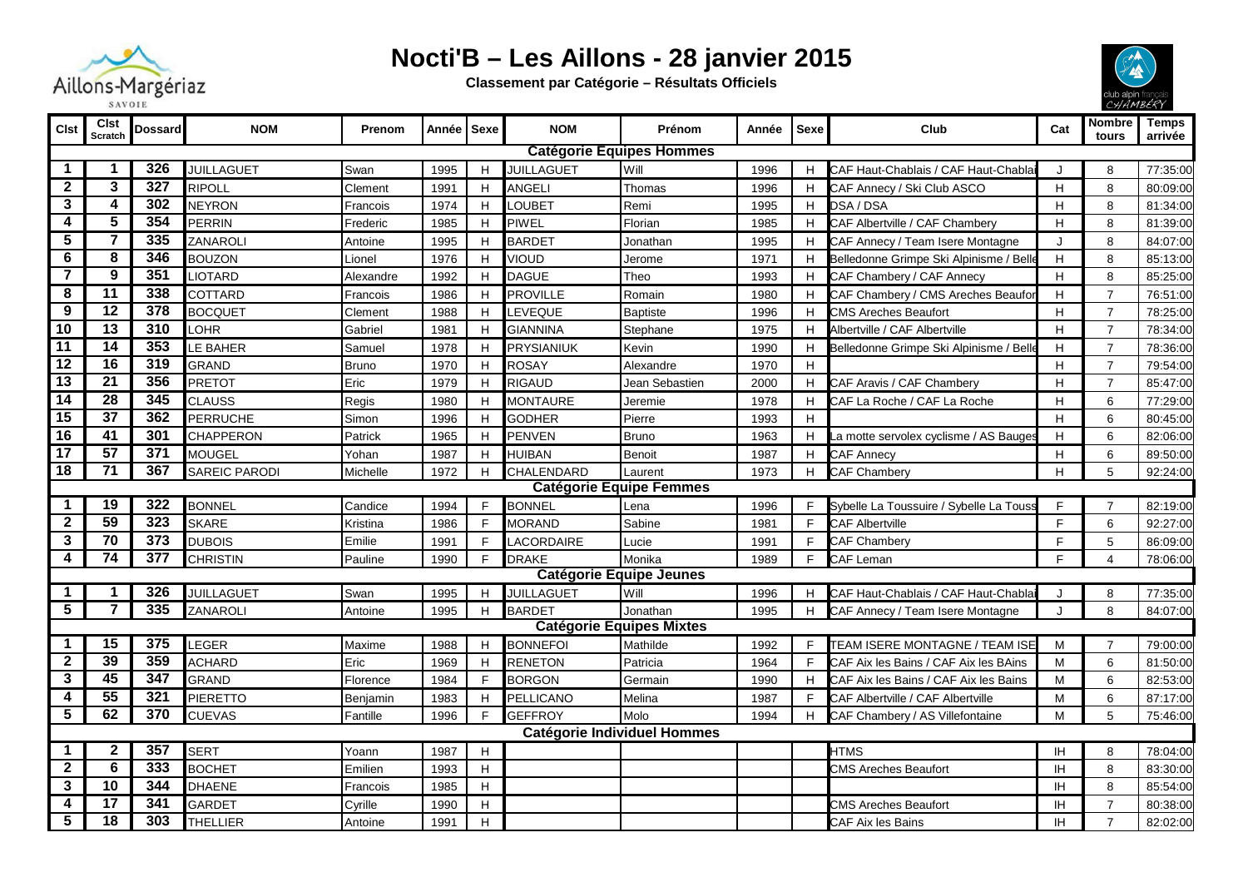

## **Nocti'B – Les Aillons - 28 janvier 2015**

**Classement par Catégorie – Résultats Officiels**



|                                 |                                    | SAVUIL           |                      |              |       |              |                   |                                 | СЯНМВЕКҮ |              |                                         |           |                 |                  |
|---------------------------------|------------------------------------|------------------|----------------------|--------------|-------|--------------|-------------------|---------------------------------|----------|--------------|-----------------------------------------|-----------|-----------------|------------------|
| <b>CIst</b>                     | <b>Clst</b><br>Scratch             | <b>Dossard</b>   | <b>NOM</b>           | Prenom       | Année | <b>Sexe</b>  | <b>NOM</b>        | Prénom                          | Année    | <b>Sexe</b>  | Club                                    | Cat       | Nombre<br>tours | Temps<br>arrivée |
| <b>Catégorie Equipes Hommes</b> |                                    |                  |                      |              |       |              |                   |                                 |          |              |                                         |           |                 |                  |
| -1                              | 1                                  | 326              | <b>JUILLAGUET</b>    | Swan         | 1995  | H            | <b>JUILLAGUET</b> | Will                            | 1996     | H            | CAF Haut-Chablais / CAF Haut-Chabla     |           | 8               | 77:35:00         |
| $\mathbf 2$                     | 3                                  | 327              | <b>RIPOLL</b>        | Clement      | 1991  | H            | <b>ANGELI</b>     | Thomas                          | 1996     | H            | CAF Annecy / Ski Club ASCO              | H         | 8               | 80:09:00         |
| 3                               | 4                                  | 302              | <b>NEYRON</b>        | Francois     | 1974  | H            | LOUBET            | Remi                            | 1995     | H            | DSA / DSA                               | H         | 8               | 81:34:00         |
| 4                               | $\overline{5}$                     | 354              | <b>PERRIN</b>        | Frederic     | 1985  | H            | <b>PIWEL</b>      | Florian                         | 1985     | H            | CAF Albertville / CAF Chambery          | H         | 8               | 81:39:00         |
| 5                               | $\overline{\mathbf{7}}$            | 335              | ZANAROLI             | Antoine      | 1995  | H            | <b>BARDET</b>     | Jonathan                        | 1995     | H            | CAF Annecy / Team Isere Montagne        | $\cdot$   | 8               | 84:07:00         |
| 6                               | 8                                  | 346              | <b>BOUZON</b>        | Lionel       | 1976  | H            | <b>VIOUD</b>      | Jerome                          | 1971     | H            | Belledonne Grimpe Ski Alpinisme / Belle | H         | 8               | 85:13:00         |
| $\overline{7}$                  | $\overline{9}$                     | 351              | <b>IOTARD</b>        | Alexandre    | 1992  | H            | <b>DAGUE</b>      | Theo                            | 1993     | H            | CAF Chambery / CAF Annecy               | H         | 8               | 85:25:00         |
| 8                               | $\overline{11}$                    | 338              | COTTARD              | Francois     | 1986  | H            | <b>PROVILLE</b>   | Romain                          | 1980     | H            | CAF Chambery / CMS Areches Beaufor      | H         | $\overline{7}$  | 76:51:00         |
| 9                               | $\overline{12}$                    | 378              | <b>BOCQUET</b>       | Clement      | 1988  | H            | LEVEQUE           | <b>Baptiste</b>                 | 1996     | H            | <b>CMS Areches Beaufort</b>             | H         | $\overline{7}$  | 78:25:00         |
| 10                              | $\overline{13}$                    | 310              | LOHR                 | Gabriel      | 1981  | H            | <b>GIANNINA</b>   | Stephane                        | 1975     | H            | Albertville / CAF Albertville           | H         | $\overline{7}$  | 78:34:00         |
| 11                              | 14                                 | 353              | LE BAHER             | Samuel       | 1978  | H            | PRYSIANIUK        | Kevin                           | 1990     | H            | Belledonne Grimpe Ski Alpinisme / Bell  | H         | $\overline{7}$  | 78:36:00         |
| $\overline{12}$                 | $\overline{16}$                    | 319              | <b>GRAND</b>         | <b>Bruno</b> | 1970  | H            | <b>ROSAY</b>      | Alexandre                       | 1970     | H            |                                         | H         | $\overline{7}$  | 79:54:00         |
| $\overline{13}$                 | $\overline{21}$                    | 356              | <b>PRETOT</b>        | Eric         | 1979  | H            | <b>RIGAUD</b>     | Jean Sebastien                  | 2000     | H            | CAF Aravis / CAF Chambery               | H         | $\overline{7}$  | 85:47:00         |
| $\overline{14}$                 | $\overline{28}$                    | 345              | <b>CLAUSS</b>        | Regis        | 1980  | H            | <b>MONTAURE</b>   | Jeremie                         | 1978     | H            | CAF La Roche / CAF La Roche             | H         | 6               | 77:29:00         |
| 15                              | $\overline{37}$                    | 362              | PERRUCHE             | Simon        | 1996  | H            | <b>GODHER</b>     | Pierre                          | 1993     | H            |                                         | H         | 6               | 80:45:00         |
| 16                              | $\overline{41}$                    | 301              | CHAPPERON            | Patrick      | 1965  | H            | <b>PENVEN</b>     | <b>Bruno</b>                    | 1963     | H            | La motte servolex cyclisme / AS Bauges  | H         | 6               | 82:06:00         |
| 17                              | 57                                 | 371              | <b>MOUGEL</b>        | Yohan        | 1987  | H            | <b>HUIBAN</b>     | <b>Benoit</b>                   | 1987     | H            | CAF Annecy                              | H         | 6               | 89:50:00         |
| 18                              | $\overline{71}$                    | 367              | <b>SAREIC PARODI</b> | Michelle     | 1972  | H            | CHALENDARD        | Laurent                         | 1973     | H            | <b>CAF Chambery</b>                     | H         | 5               | 92:24:00         |
|                                 | <b>Catégorie Equipe Femmes</b>     |                  |                      |              |       |              |                   |                                 |          |              |                                         |           |                 |                  |
| -1                              | 19                                 | 322              | <b>BONNEL</b>        | Candice      | 1994  | F            | <b>BONNEL</b>     | Lena                            | 1996     | F            | Sybelle La Toussuire / Sybelle La Touss | F         | $\overline{7}$  | 82:19:00         |
| $\mathbf{2}$                    | 59                                 | 323              | <b>SKARE</b>         | Kristina     | 1986  | $\mathsf{F}$ | <b>MORAND</b>     | Sabine                          | 1981     | $\mathsf{F}$ | <b>CAF Albertville</b>                  | E         | 6               | 92:27:00         |
| 3                               | $\overline{70}$                    | 373              | <b>DUBOIS</b>        | Emilie       | 1991  | F            | LACORDAIRE        | Lucie                           | 1991     | F            | <b>CAF Chamberv</b>                     | F         | 5               | 86:09:00         |
| 4                               | $\overline{74}$                    | 377              | <b>CHRISTIN</b>      | Pauline      | 1990  | $\mathsf{F}$ | <b>DRAKE</b>      | Monika                          | 1989     | F            | <b>CAF Leman</b>                        | F         | 4               | 78:06:00         |
|                                 |                                    |                  |                      |              |       |              |                   | <b>Catégorie Equipe Jeunes</b>  |          |              |                                         |           |                 |                  |
|                                 | 1                                  | 326              | <b>JUILLAGUET</b>    | Swan         | 1995  | H            | <b>JUILLAGUET</b> | Will                            | 1996     | H            | CAF Haut-Chablais / CAF Haut-Chabla     |           | 8               | 77:35:00         |
| 5                               | $\overline{7}$                     | 335              | <b>ZANAROLI</b>      | Antoine      | 1995  | H            | <b>BARDET</b>     | Jonathan                        | 1995     | H            | CAF Annecy / Team Isere Montagne        |           | 8               | 84:07:00         |
|                                 |                                    |                  |                      |              |       |              |                   | <b>Catégorie Equipes Mixtes</b> |          |              |                                         |           |                 |                  |
| $\mathbf 1$                     | 15                                 | 375              | LEGER                | Maxime       | 1988  | H            | <b>BONNEFOI</b>   | Mathilde                        | 1992     | F            | TEAM ISERE MONTAGNE / TEAM ISE          | M         |                 | 79:00:00         |
| $\mathbf{2}$                    | 39                                 | 359              | ACHARD               | Eric         | 1969  | H            | <b>RENETON</b>    | Patricia                        | 1964     | F            | CAF Aix les Bains / CAF Aix les BAins   | M         | 6               | 81:50:00         |
| 3                               | $\overline{45}$                    | 347              | <b>GRAND</b>         | Florence     | 1984  | E            | <b>BORGON</b>     | Germain                         | 1990     | H            | CAF Aix les Bains / CAF Aix les Bains   | M         | 6               | 82:53:00         |
| 4                               | 55                                 | 321              | PIERETTO             | Benjamin     | 1983  | H            | PELLICANO         | Melina                          | 1987     | F            | CAF Albertville / CAF Albertville       | M         | 6               | 87:17:00         |
| 5                               | 62                                 | 370              | <b>CUEVAS</b>        | Fantille     | 1996  | F            | <b>GEFFROY</b>    | Molo                            | 1994     | H            | CAF Chambery / AS Villefontaine         | M         | 5               | 75:46:00         |
|                                 | <b>Catégorie Individuel Hommes</b> |                  |                      |              |       |              |                   |                                 |          |              |                                         |           |                 |                  |
| $\mathbf 1$                     | $\boldsymbol{2}$                   | 357              | <b>SERT</b>          | Yoann        | 1987  | $\mathsf H$  |                   |                                 |          |              | <b>HTMS</b>                             | <b>IH</b> | 8               | 78:04:00         |
| $\overline{2}$                  | 6                                  | $\overline{333}$ | <b>BOCHET</b>        | Emilien      | 1993  | H            |                   |                                 |          |              | <b>CMS Areches Beaufort</b>             | IH        | 8               | 83:30:00         |
| 3                               | 10                                 | 344              | <b>DHAENE</b>        | Francois     | 1985  | H            |                   |                                 |          |              |                                         | IH        | 8               | 85:54:00         |
| 4                               | 17                                 | 341              | GARDET               | Cyrille      | 1990  | H            |                   |                                 |          |              | <b>CMS Areches Beaufort</b>             | <b>IH</b> | $\overline{7}$  | 80:38:00         |
| 5                               | $\overline{18}$                    | 303              | <b>THELLIER</b>      | Antoine      | 1991  | H            |                   |                                 |          |              | CAF Aix les Bains                       | ΙH        | $\overline{7}$  | 82:02:00         |